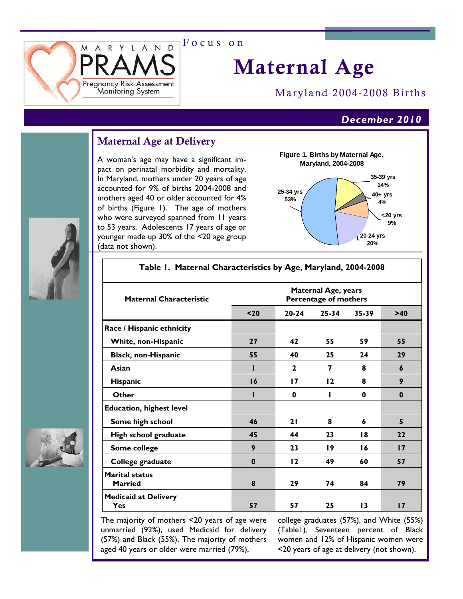

# Maternal Age

Maryland 2004-2008 Births

### *December 2010*

### Maternal Age at Delivery

A woman's age may have a significant impact on perinatal morbidity and mortality. In Maryland, mothers under 20 years of age accounted for 9% of births 2004-2008 and mothers aged 40 or older accounted for 4% of births (Figure 1). The age of mothers who were surveyed spanned from 11 years to 53 years. Adolescents 17 years of age or younger made up 30% of the <20 age group (data not shown).



| <b>Maternal Characteristic</b>          | <b>Maternal Age, years</b><br>Percentage of mothers |              |       |                 |          |  |
|-----------------------------------------|-----------------------------------------------------|--------------|-------|-----------------|----------|--|
|                                         | $20$                                                | $20 - 24$    | 25-34 | 35-39           | $>40$    |  |
| Race / Hispanic ethnicity               |                                                     |              |       |                 |          |  |
| White, non-Hispanic                     | 27                                                  | 42           | 55    | 59              | 55       |  |
| <b>Black, non-Hispanic</b>              | 55                                                  | 40           | 25    | 24              | 29       |  |
| Asian                                   |                                                     | $\mathbf{2}$ | 7     | 8               | 6        |  |
| Hispanic                                | 16                                                  | 17           | 12    | 8               | 9        |  |
| Other                                   |                                                     | 0            |       | 0               | $\bf{0}$ |  |
| <b>Education, highest level</b>         |                                                     |              |       |                 |          |  |
| Some high school                        | 46                                                  | 21           | 8     | 6               | 5        |  |
| High school graduate                    | 45                                                  | 44           | 23    | 18              | 22       |  |
| Some college                            | 9                                                   | 23           | 19    | 16              | 17       |  |
| College graduate                        | $\bf{0}$                                            | 12           | 49    | 60              | 57       |  |
| <b>Marital status</b><br><b>Married</b> | 8                                                   | 29           | 74    | 84              | 79       |  |
| <b>Medicaid at Delivery</b><br>Yes      | 57                                                  | 57           | 25    | $\overline{13}$ | 17       |  |

**Table 1. Maternal Characteristics by Age, Maryland, 2004-2008** 

The majority of mothers <20 years of age were unmarried (92%), used Medicaid for delivery (57%) and Black (55%). The majority of mothers aged 40 years or older were married (79%),

college graduates (57%), and White (55%) (Table1). Seventeen percent of Black women and 12% of Hispanic women were <20 years of age at delivery (not shown).



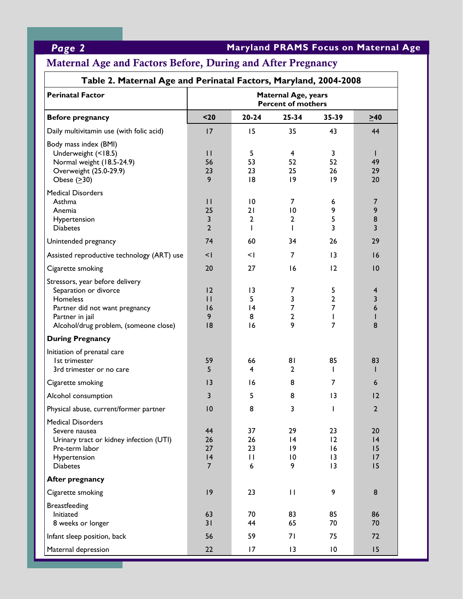## *Page 2* **Maryland PRAMS Focus on Maternal Age**

## Maternal Age and Factors Before, During and After Pregnancy

| Table 2. Maternal Age and Perinatal Factors, Maryland, 2004-2008                                                                                                   |                                                         |                                            |                                |                                            |                               |  |  |
|--------------------------------------------------------------------------------------------------------------------------------------------------------------------|---------------------------------------------------------|--------------------------------------------|--------------------------------|--------------------------------------------|-------------------------------|--|--|
| <b>Perinatal Factor</b>                                                                                                                                            | <b>Maternal Age, years</b><br><b>Percent of mothers</b> |                                            |                                |                                            |                               |  |  |
| <b>Before pregnancy</b>                                                                                                                                            | $20$                                                    | $20 - 24$                                  | $25 - 34$                      | 35-39                                      | $\geq 40$                     |  |  |
| Daily multivitamin use (with folic acid)                                                                                                                           | 17                                                      | 15                                         | 35                             | 43                                         | 44                            |  |  |
| Body mass index (BMI)<br>Underweight (<18.5)<br>Normal weight (18.5-24.9)<br>Overweight (25.0-29.9)<br>Obese $(≥30)$                                               | $\mathbf{H}$<br>56<br>23<br>9                           | 5<br>53<br>23<br>18                        | 4<br>52<br>25<br> 9            | 3<br>52<br>26<br>$ 9\rangle$               | H.<br>49<br>29<br>20          |  |  |
| <b>Medical Disorders</b><br>Asthma<br>Anemia<br>Hypertension<br><b>Diabetes</b>                                                                                    | $\mathbf{H}$<br>25<br>3<br>$\overline{2}$               | $\overline{10}$<br>21<br>$\mathbf{2}$<br>L | 7<br>10<br>$\overline{2}$<br>T | 6<br>9<br>5<br>3                           | $\overline{7}$<br>9<br>8<br>3 |  |  |
| Unintended pregnancy                                                                                                                                               | 74                                                      | 60                                         | 34                             | 26                                         | 29                            |  |  |
| Assisted reproductive technology (ART) use                                                                                                                         | $\leq$ $\mid$                                           | <١                                         | 7                              | $\overline{13}$                            | 16                            |  |  |
| Cigarette smoking                                                                                                                                                  | 20                                                      | 27                                         | 16                             | 12                                         | 10                            |  |  |
| Stressors, year before delivery<br>Separation or divorce<br>Homeless<br>Partner did not want pregnancy<br>Partner in jail<br>Alcohol/drug problem, (someone close) | 12<br>$\mathsf{H}$<br>16<br>9<br> 8                     | 13<br>5<br> 4<br>8<br>16                   | 7<br>3<br>7<br>2<br>9          | 5<br>$\overline{2}$<br>7<br>$\overline{7}$ | 4<br>3<br>6<br>8              |  |  |
| <b>During Pregnancy</b>                                                                                                                                            |                                                         |                                            |                                |                                            |                               |  |  |
| Initiation of prenatal care<br>Ist trimester<br>3rd trimester or no care                                                                                           | 59<br>5                                                 | 66<br>4                                    | 81<br>$\mathbf{2}$             | 85<br>I.                                   | 83<br>н                       |  |  |
| Cigarette smoking                                                                                                                                                  | 3                                                       | 16                                         | 8                              | 7                                          | 6                             |  |  |
| Alcohol consumption                                                                                                                                                | 3                                                       | 5                                          | 8                              | $\overline{13}$                            | 12                            |  |  |
| Physical abuse, current/former partner                                                                                                                             | $\overline{10}$                                         | 8                                          | ٦                              | $\mathbf{L}$                               | 2                             |  |  |
| <b>Medical Disorders</b><br>Severe nausea<br>Urinary tract or kidney infection (UTI)<br>Pre-term labor<br>Hypertension<br><b>Diabetes</b>                          | 44<br>26<br>27<br> 4<br>$\overline{7}$                  | 37<br>26<br>23<br>П<br>6                   | 29<br> 4<br> 9<br>10<br>9      | 23<br>12<br>16<br>$\overline{13}$<br>13    | 20<br> 4<br>15<br>17<br>15    |  |  |
| <b>After pregnancy</b>                                                                                                                                             |                                                         |                                            |                                |                                            |                               |  |  |
| Cigarette smoking                                                                                                                                                  | 9                                                       | 23                                         | $\mathbf{H}$                   | 9                                          | $\bf 8$                       |  |  |
| <b>Breastfeeding</b><br>Initiated<br>8 weeks or longer                                                                                                             | 63<br>31                                                | 70<br>44                                   | 83<br>65                       | 85<br>70                                   | 86<br>70                      |  |  |
| Infant sleep position, back                                                                                                                                        | 56                                                      | 59                                         | 71                             | 75                                         | 72                            |  |  |
| Maternal depression                                                                                                                                                | 22                                                      | 17                                         | 13                             | $\overline{10}$                            | 15                            |  |  |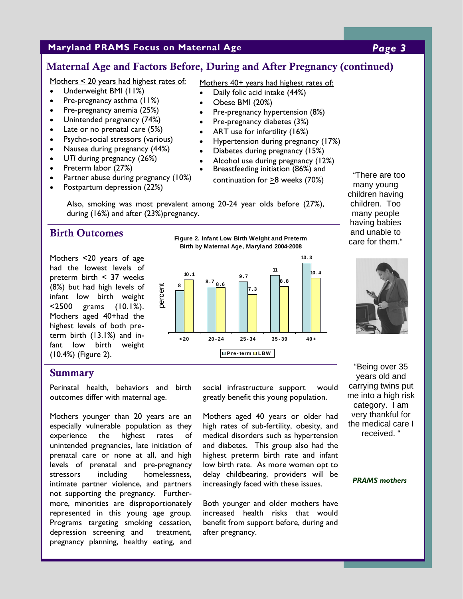#### **Maryland PRAMS Focus on Maternal Age** *Page 3*

#### Maternal Age and Factors Before, During and After Pregnancy (continued)

Mothers < 20 years had highest rates of:

- Underweight BMI (11%)
- Pre-pregnancy asthma (11%)
- Pre-pregnancy anemia (25%)
- Unintended pregnancy (74%)
- Late or no prenatal care (5%)
- Psycho-social stressors (various)
- Nausea during pregnancy (44%)
- U*TI* during pregnancy (26%)
- Preterm labor (27%)
- Partner abuse during pregnancy (10%)
- Postpartum depression (22%)

Mothers 40+ years had highest rates of:

- Daily folic acid intake (44%)
- Obese BMI (20%)
- Pre-pregnancy hypertension (8%)
- Pre-pregnancy diabetes (3%)
- ART use for infertility (16%)
- Hypertension during pregnancy (17%)
- Diabetes during pregnancy (15%)
- Alcohol use during pregnancy (12%)
- Breastfeeding initiation (86%) and

continuation for >8 weeks (70%)

Also, smoking was most prevalent among 20-24 year olds before (27%), during (16%) and after (23%)pregnancy.

#### Birth Outcomes

Mothers <20 years of age had the lowest levels of preterm birth < 37 weeks (8%) but had high levels of infant low birth weight <2500 grams (10.1%). Mothers aged 40+had the highest levels of both preterm birth (13.1%) and infant low birth weight (10.4%) (Figure 2).





*"*There are too many young children having children. Too many people having babies and unable to care for them."



#### **Summary**

Perinatal health, behaviors and birth outcomes differ with maternal age.

Mothers younger than 20 years are an especially vulnerable population as they experience the highest rates of unintended pregnancies, late initiation of prenatal care or none at all, and high levels of prenatal and pre-pregnancy stressors including homelessness, intimate partner violence, and partners not supporting the pregnancy. Furthermore, minorities are disproportionately represented in this young age group. Programs targeting smoking cessation, depression screening and treatment, pregnancy planning, healthy eating, and social infrastructure support would greatly benefit this young population.

Mothers aged 40 years or older had high rates of sub-fertility, obesity, and medical disorders such as hypertension and diabetes. This group also had the highest preterm birth rate and infant low birth rate. As more women opt to delay childbearing, providers will be increasingly faced with these issues.

Both younger and older mothers have increased health risks that would benefit from support before, during and after pregnancy.

"Being over 35 years old and carrying twins put me into a high risk category. I am very thankful for the medical care I received. "

#### *PRAMS mothers*